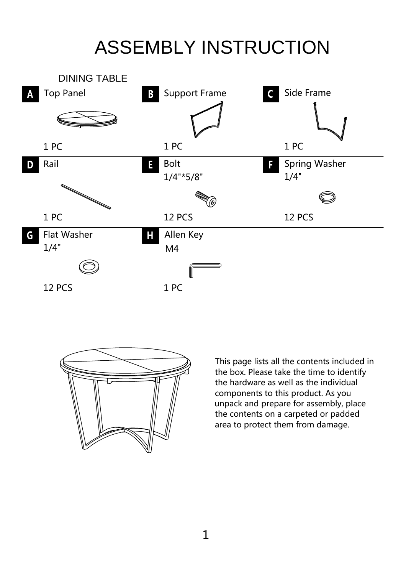## ASSEMBLY INSTRUCTION





This page lists all the contents included in the box. Please take the time to identify the hardware as well as the individual components to this product. As you unpack and prepare for assembly, place the contents on a carpeted or padded area to protect them from damage.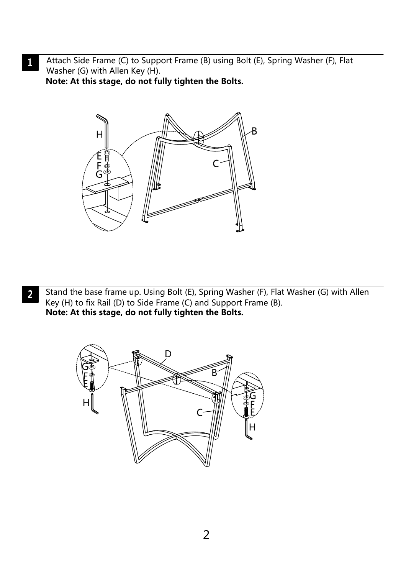Attach Side Frame (C) to Support Frame (B) using Bolt (E), Spring Washer (F), Flat  $\mathbf{1}$ Washer (G) with Allen Key (H).

**Note: At this stage, do not fully tighten the Bolts.**



Stand the base frame up. Using Bolt (E), Spring Washer (F), Flat Washer (G) with Allen  $\overline{2}$ Key (H) to fix Rail (D) to Side Frame (C) and Support Frame (B). **Note: At this stage, do not fully tighten the Bolts.**